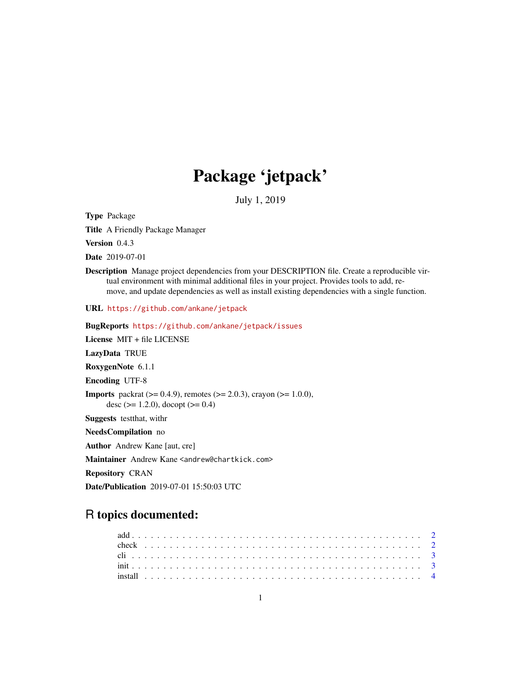## Package 'jetpack'

July 1, 2019

Type Package

Title A Friendly Package Manager

Version 0.4.3

Date 2019-07-01

Description Manage project dependencies from your DESCRIPTION file. Create a reproducible virtual environment with minimal additional files in your project. Provides tools to add, remove, and update dependencies as well as install existing dependencies with a single function.

URL <https://github.com/ankane/jetpack>

BugReports <https://github.com/ankane/jetpack/issues>

License MIT + file LICENSE

LazyData TRUE

RoxygenNote 6.1.1

Encoding UTF-8

**Imports** packrat ( $> = 0.4.9$ ), remotes ( $> = 2.0.3$ ), crayon ( $> = 1.0.0$ ), desc ( $> = 1.2.0$ ), docopt ( $> = 0.4$ )

Suggests testthat, withr

NeedsCompilation no

Author Andrew Kane [aut, cre]

Maintainer Andrew Kane <andrew@chartkick.com>

Repository CRAN

Date/Publication 2019-07-01 15:50:03 UTC

### R topics documented: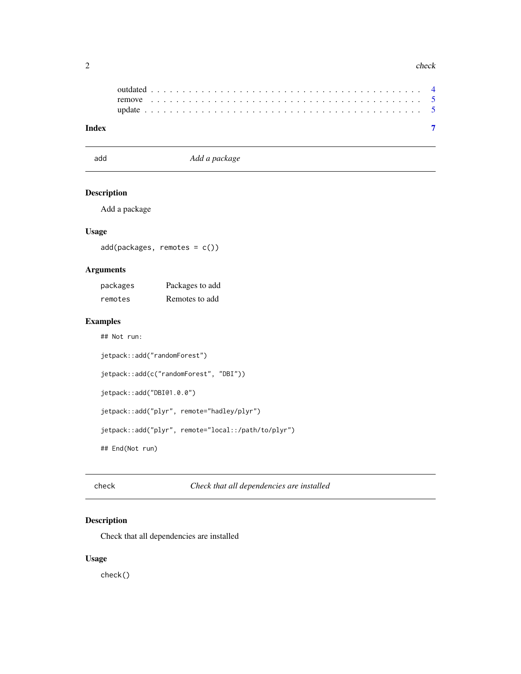#### <span id="page-1-0"></span>2 check and the check of the check of the check of the check of the check of the check of the check

add *Add a package*

#### Description

Add a package

#### Usage

add(packages, remotes = c())

#### Arguments

| packages | Packages to add |
|----------|-----------------|
| remotes  | Remotes to add  |

#### Examples

## Not run:

```
jetpack::add("randomForest")
```

```
jetpack::add(c("randomForest", "DBI"))
```
jetpack::add("DBI@1.0.0")

jetpack::add("plyr", remote="hadley/plyr")

jetpack::add("plyr", remote="local::/path/to/plyr")

## End(Not run)

check *Check that all dependencies are installed*

#### Description

Check that all dependencies are installed

#### Usage

check()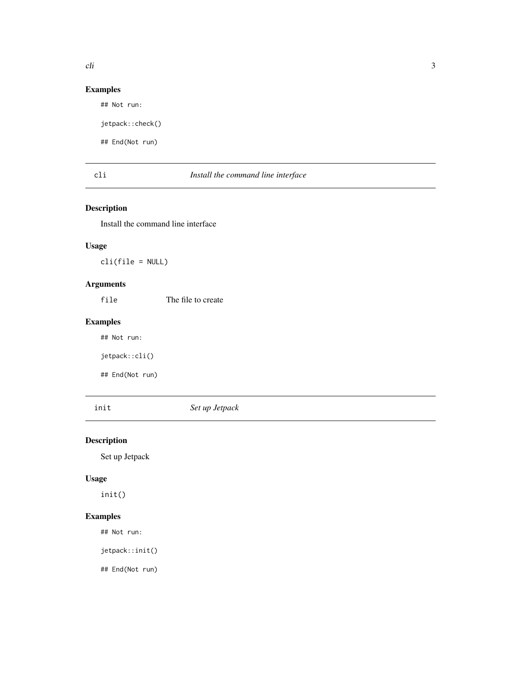#### <span id="page-2-0"></span>Examples

## Not run:

jetpack::check()

## End(Not run)

#### cli *Install the command line interface*

#### Description

Install the command line interface

#### Usage

cli(file = NULL)

#### Arguments

file The file to create

#### Examples

## Not run:

jetpack::cli()

## End(Not run)

init *Set up Jetpack*

#### Description

Set up Jetpack

#### Usage

init()

#### Examples

## Not run:

jetpack::init()

## End(Not run)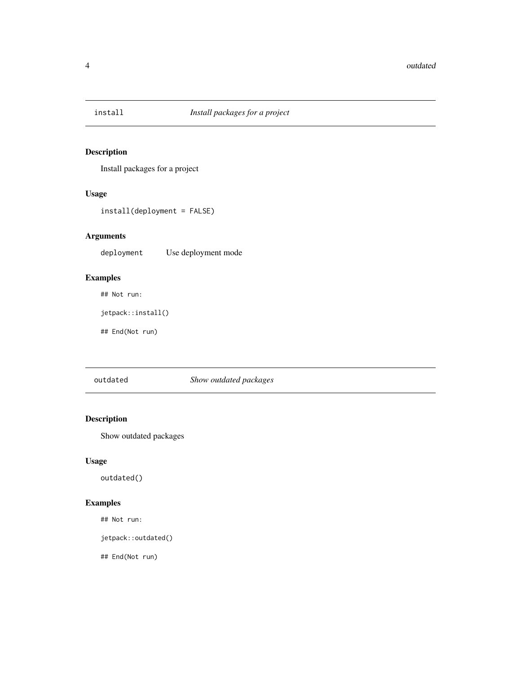<span id="page-3-0"></span>

#### Description

Install packages for a project

#### Usage

install(deployment = FALSE)

#### Arguments

deployment Use deployment mode

#### Examples

## Not run:

jetpack::install()

## End(Not run)

outdated *Show outdated packages*

#### Description

Show outdated packages

#### Usage

outdated()

#### Examples

## Not run:

jetpack::outdated()

## End(Not run)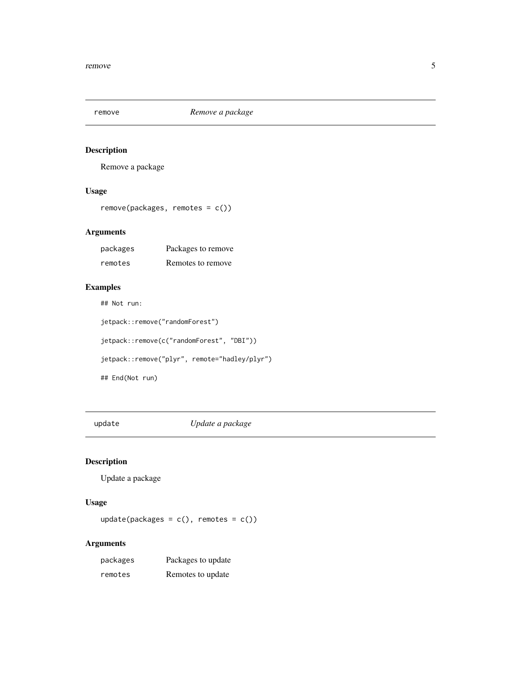<span id="page-4-0"></span>

#### Description

Remove a package

#### Usage

remove(packages, remotes = c())

#### Arguments

| packages | Packages to remove |
|----------|--------------------|
| remotes  | Remotes to remove  |

#### Examples

## Not run:

```
jetpack::remove("randomForest")
jetpack::remove(c("randomForest", "DBI"))
jetpack::remove("plyr", remote="hadley/plyr")
## End(Not run)
```
update *Update a package*

#### Description

Update a package

#### Usage

update(packages =  $c()$ , remotes =  $c()$ )

#### Arguments

| packages | Packages to update |
|----------|--------------------|
| remotes  | Remotes to update  |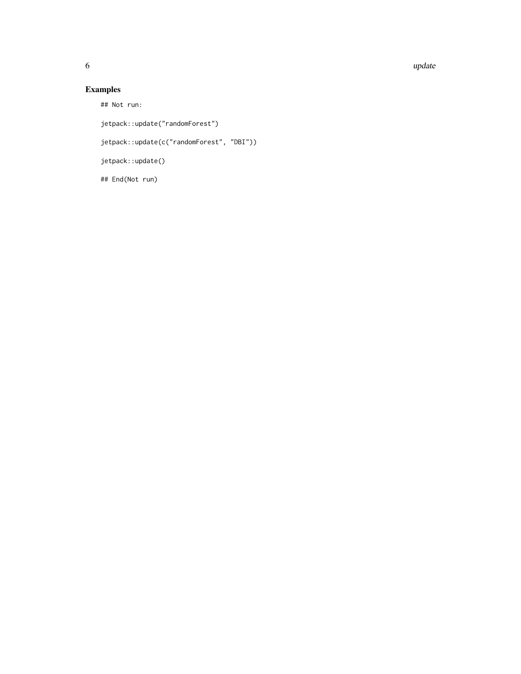6 update the contract of the contract of the contract of the contract of the contract of the contract of the contract of the contract of the contract of the contract of the contract of the contract of the contract of the c

#### Examples

## Not run:

jetpack::update("randomForest")

jetpack::update(c("randomForest", "DBI"))

jetpack::update()

## End(Not run)